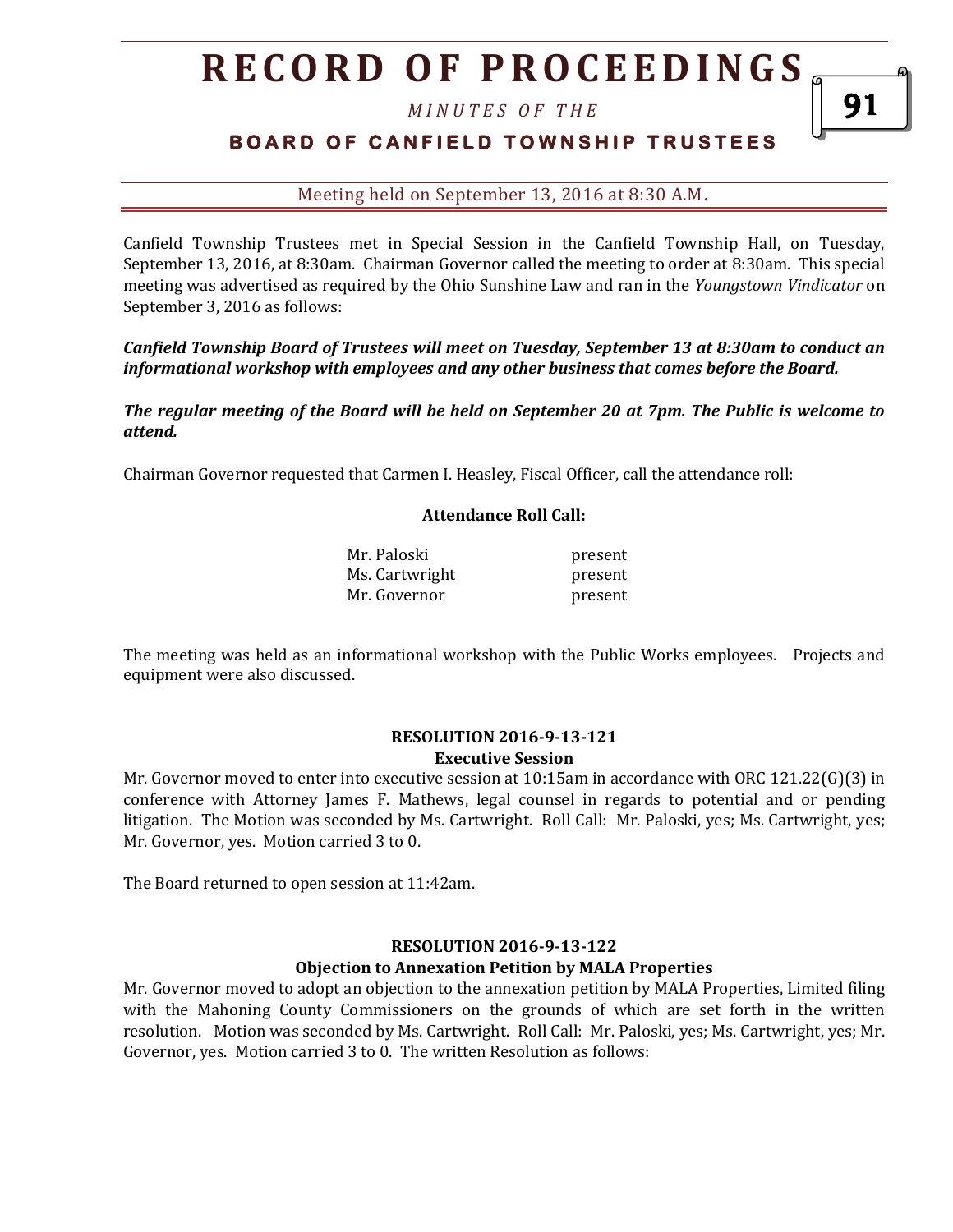*M I N U T E S O F T H E* 

## **BOARD OF CANFIELD TOWNSHIP TRUSTEES**

### Meeting held on September 13, 2016 at 8:30 A.M**.**

Canfield Township Trustees met in Special Session in the Canfield Township Hall, on Tuesday, September 13, 2016, at 8:30am. Chairman Governor called the meeting to order at 8:30am. This special meeting was advertised as required by the Ohio Sunshine Law and ran in the *Youngstown Vindicator* on September 3, 2016 as follows:

*Canfield Township Board of Trustees will meet on Tuesday, September 13 at 8:30am to conduct an informational workshop with employees and any other business that comes before the Board.* 

*The regular meeting of the Board will be held on September 20 at 7pm. The Public is welcome to attend.*

Chairman Governor requested that Carmen I. Heasley, Fiscal Officer, call the attendance roll:

#### **Attendance Roll Call:**

| Mr. Paloski    | present |
|----------------|---------|
| Ms. Cartwright | present |
| Mr. Governor   | present |

The meeting was held as an informational workshop with the Public Works employees. Projects and equipment were also discussed.

#### **RESOLUTION 2016-9-13-121 Executive Session**

Mr. Governor moved to enter into executive session at 10:15am in accordance with ORC 121.22(G)(3) in conference with Attorney James F. Mathews, legal counsel in regards to potential and or pending litigation. The Motion was seconded by Ms. Cartwright. Roll Call: Mr. Paloski, yes; Ms. Cartwright, yes; Mr. Governor, yes. Motion carried 3 to 0.

The Board returned to open session at 11:42am.

#### **RESOLUTION 2016-9-13-122**

#### **Objection to Annexation Petition by MALA Properties**

Mr. Governor moved to adopt an objection to the annexation petition by MALA Properties, Limited filing with the Mahoning County Commissioners on the grounds of which are set forth in the written resolution. Motion was seconded by Ms. Cartwright. Roll Call: Mr. Paloski, yes; Ms. Cartwright, yes; Mr. Governor, yes. Motion carried 3 to 0. The written Resolution as follows: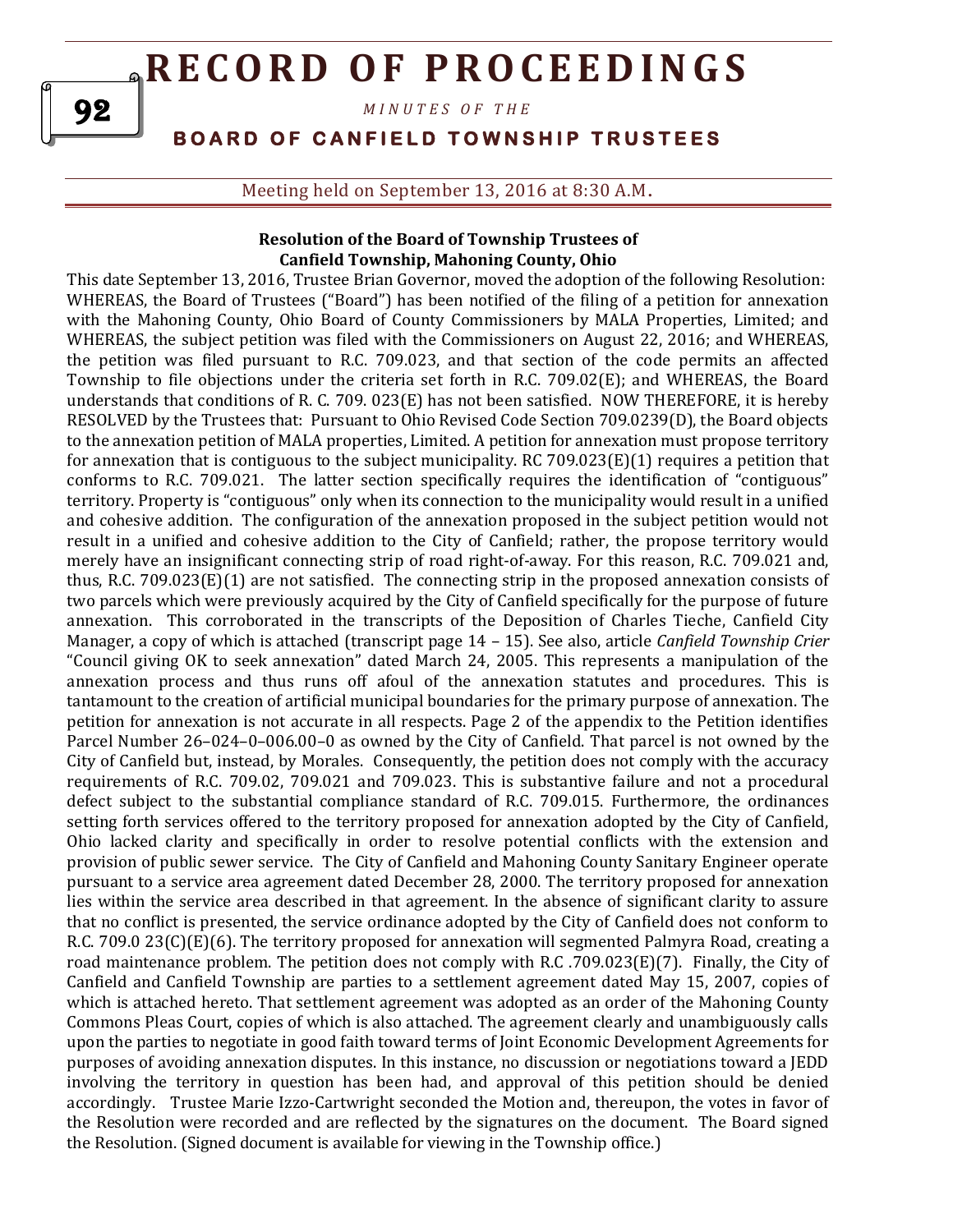*M I N U T E S O F T H E* 

**B O A R D O F C A N F I E L D T O W N S H I P T R U S T E E S** 

Meeting held on September 13, 2016 at 8:30 A.M**.**

### **Resolution of the Board of Township Trustees of Canfield Township, Mahoning County, Ohio**

This date September 13, 2016, Trustee Brian Governor, moved the adoption of the following Resolution: WHEREAS, the Board of Trustees ("Board") has been notified of the filing of a petition for annexation with the Mahoning County, Ohio Board of County Commissioners by MALA Properties, Limited; and WHEREAS, the subject petition was filed with the Commissioners on August 22, 2016; and WHEREAS, the petition was filed pursuant to R.C. 709.023, and that section of the code permits an affected Township to file objections under the criteria set forth in R.C. 709.02(E); and WHEREAS, the Board understands that conditions of R. C. 709. 023(E) has not been satisfied. NOW THEREFORE, it is hereby RESOLVED by the Trustees that: Pursuant to Ohio Revised Code Section 709.0239(D), the Board objects to the annexation petition of MALA properties, Limited. A petition for annexation must propose territory for annexation that is contiguous to the subject municipality. RC 709.023(E)(1) requires a petition that conforms to R.C. 709.021. The latter section specifically requires the identification of "contiguous" territory. Property is "contiguous" only when its connection to the municipality would result in a unified and cohesive addition. The configuration of the annexation proposed in the subject petition would not result in a unified and cohesive addition to the City of Canfield; rather, the propose territory would merely have an insignificant connecting strip of road right-of-away. For this reason, R.C. 709.021 and, thus, R.C. 709.023(E)(1) are not satisfied. The connecting strip in the proposed annexation consists of two parcels which were previously acquired by the City of Canfield specifically for the purpose of future annexation. This corroborated in the transcripts of the Deposition of Charles Tieche, Canfield City Manager, a copy of which is attached (transcript page 14 – 15). See also, article *Canfield Township Crier* "Council giving OK to seek annexation" dated March 24, 2005. This represents a manipulation of the annexation process and thus runs off afoul of the annexation statutes and procedures. This is tantamount to the creation of artificial municipal boundaries for the primary purpose of annexation. The petition for annexation is not accurate in all respects. Page 2 of the appendix to the Petition identifies Parcel Number 26–024–0–006.00–0 as owned by the City of Canfield. That parcel is not owned by the City of Canfield but, instead, by Morales. Consequently, the petition does not comply with the accuracy requirements of R.C. 709.02, 709.021 and 709.023. This is substantive failure and not a procedural defect subject to the substantial compliance standard of R.C. 709.015. Furthermore, the ordinances setting forth services offered to the territory proposed for annexation adopted by the City of Canfield, Ohio lacked clarity and specifically in order to resolve potential conflicts with the extension and provision of public sewer service. The City of Canfield and Mahoning County Sanitary Engineer operate pursuant to a service area agreement dated December 28, 2000. The territory proposed for annexation lies within the service area described in that agreement. In the absence of significant clarity to assure that no conflict is presented, the service ordinance adopted by the City of Canfield does not conform to R.C. 709.0 23(C)(E)(6). The territory proposed for annexation will segmented Palmyra Road, creating a road maintenance problem. The petition does not comply with R.C .709.023(E)(7). Finally, the City of Canfield and Canfield Township are parties to a settlement agreement dated May 15, 2007, copies of which is attached hereto. That settlement agreement was adopted as an order of the Mahoning County Commons Pleas Court, copies of which is also attached. The agreement clearly and unambiguously calls upon the parties to negotiate in good faith toward terms of Joint Economic Development Agreements for purposes of avoiding annexation disputes. In this instance, no discussion or negotiations toward a JEDD involving the territory in question has been had, and approval of this petition should be denied accordingly. Trustee Marie Izzo-Cartwright seconded the Motion and, thereupon, the votes in favor of the Resolution were recorded and are reflected by the signatures on the document. The Board signed the Resolution. (Signed document is available for viewing in the Township office.)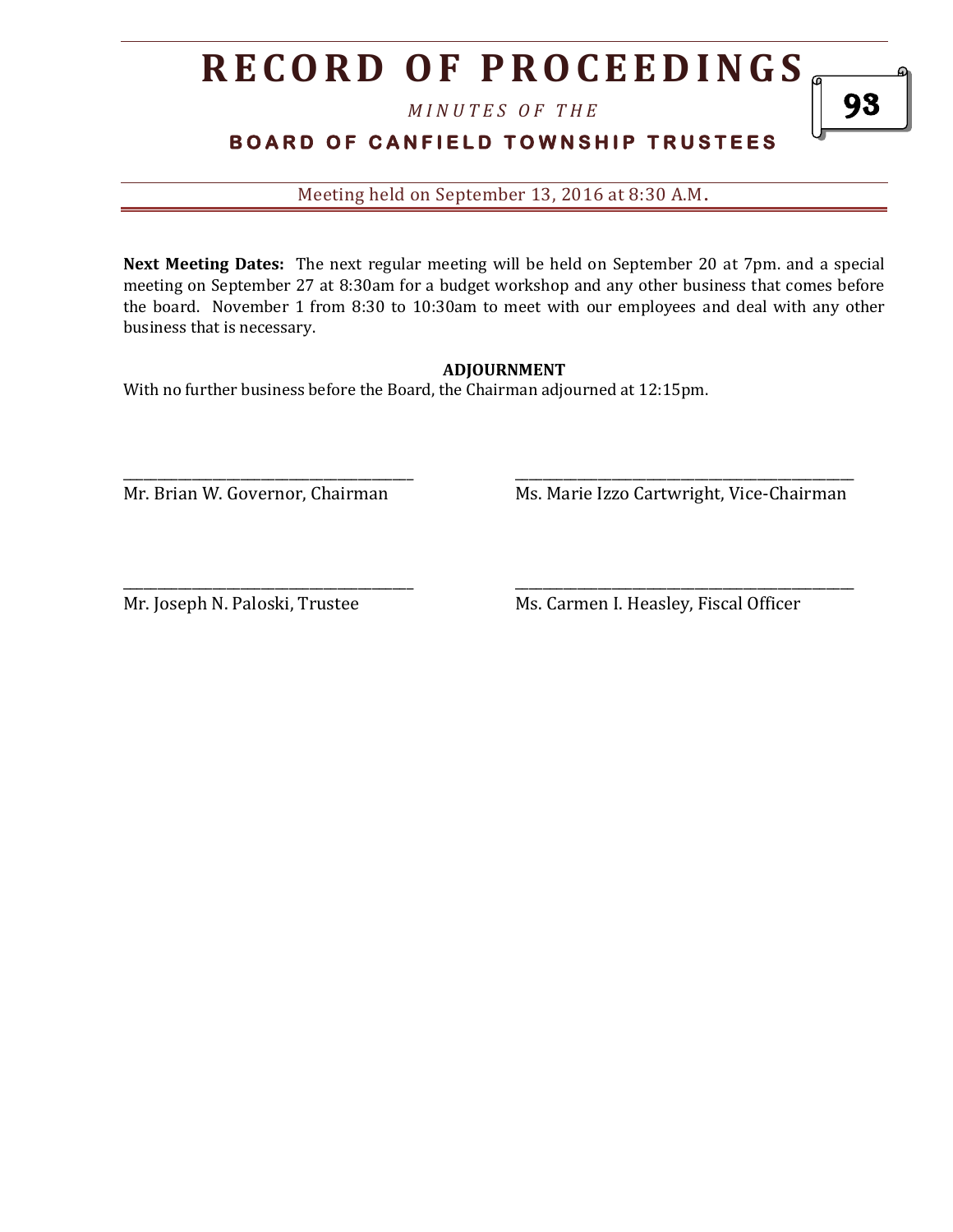*M I N U T E S O F T H E* 

## **BOARD OF CANFIELD TOWNSHIP TRUSTEES**

Meeting held on September 13, 2016 at 8:30 A.M**.**

**Next Meeting Dates:** The next regular meeting will be held on September 20 at 7pm. and a special meeting on September 27 at 8:30am for a budget workshop and any other business that comes before the board. November 1 from 8:30 to 10:30am to meet with our employees and deal with any other business that is necessary.

### **ADJOURNMENT**

\_\_\_\_\_\_\_\_\_\_\_\_\_\_\_\_\_\_\_\_\_\_\_\_\_\_\_\_\_\_\_\_\_\_\_\_\_\_\_\_\_\_ \_\_\_\_\_\_\_\_\_\_\_\_\_\_\_\_\_\_\_\_\_\_\_\_\_\_\_\_\_\_\_\_\_\_\_\_\_\_\_\_\_\_\_\_\_\_\_\_\_

With no further business before the Board, the Chairman adjourned at 12:15pm.

Mr. Brian W. Governor, Chairman Ms. Marie Izzo Cartwright, Vice-Chairman

\_\_\_\_\_\_\_\_\_\_\_\_\_\_\_\_\_\_\_\_\_\_\_\_\_\_\_\_\_\_\_\_\_\_\_\_\_\_\_\_\_\_ \_\_\_\_\_\_\_\_\_\_\_\_\_\_\_\_\_\_\_\_\_\_\_\_\_\_\_\_\_\_\_\_\_\_\_\_\_\_\_\_\_\_\_\_\_\_\_\_\_

Mr. Joseph N. Paloski, Trustee Ms. Carmen I. Heasley, Fiscal Officer